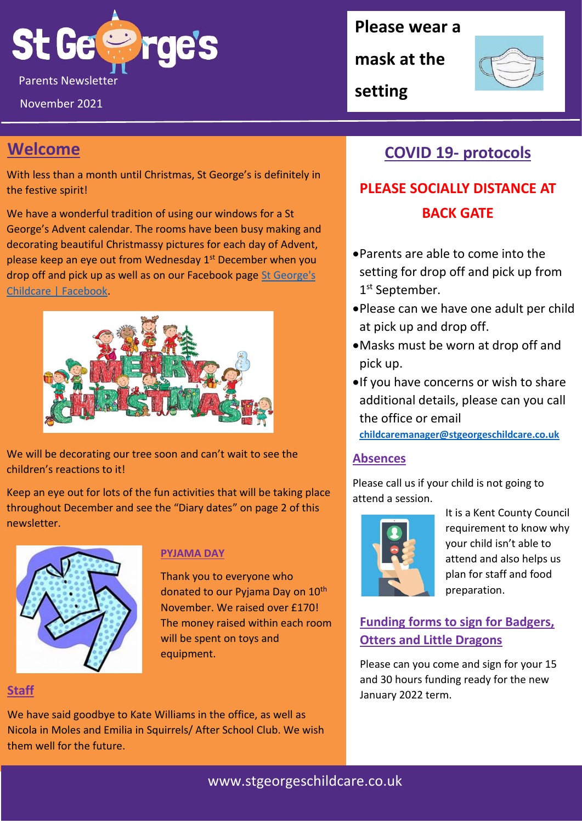

November 2021

## **Welcome**

With less than a month until Christmas, St George's is definitely in the festive spirit!

We have a wonderful tradition of using our windows for a St George's Advent calendar. The rooms have been busy making and decorating beautiful Christmassy pictures for each day of Advent, please keep an eye out from Wednesday 1st December when you drop off and pick up as well as on our Facebook page [St George's](https://www.facebook.com/StGeorgesChildcare)  [Childcare | Facebook.](https://www.facebook.com/StGeorgesChildcare)



We will be decorating our tree soon and can't wait to see the children's reactions to it!

Keep an eye out for lots of the fun activities that will be taking place throughout December and see the "Diary dates" on page 2 of this newsletter.



#### **PYJAMA DAY**

Thank you to everyone who donated to our Pyjama Day on 10<sup>th</sup> November. We raised over £170! The money raised within each room will be spent on toys and equipment.

#### **Staff**

We have said goodbye to Kate Williams in the office, as well as Nicola in Moles and Emilia in Squirrels/ After School Club. We wish them well for the future.

**Please wear a** 

**mask at the** 

**setting**



## **COVID 19- protocols**

## **PLEASE SOCIALLY DISTANCE AT BACK GATE**

- •Parents are able to come into the setting for drop off and pick up from 1<sup>st</sup> September.
- •Please can we have one adult per child at pick up and drop off.
- •Masks must be worn at drop off and pick up.
- •If you have concerns or wish to share additional details, please can you call the office or email **[childcaremanager@stgeorgeschildcare.co.uk](mailto:childcaremanager@stgeorgeschildcare.co.uk)**

#### **Absences**

Please call us if your child is not going to attend a session.



It is a Kent County Council requirement to know why your child isn't able to attend and also helps us plan for staff and food preparation.

**Funding forms to sign for Badgers, Otters and Little Dragons**

Please can you come and sign for your 15 and 30 hours funding ready for the new January 2022 term.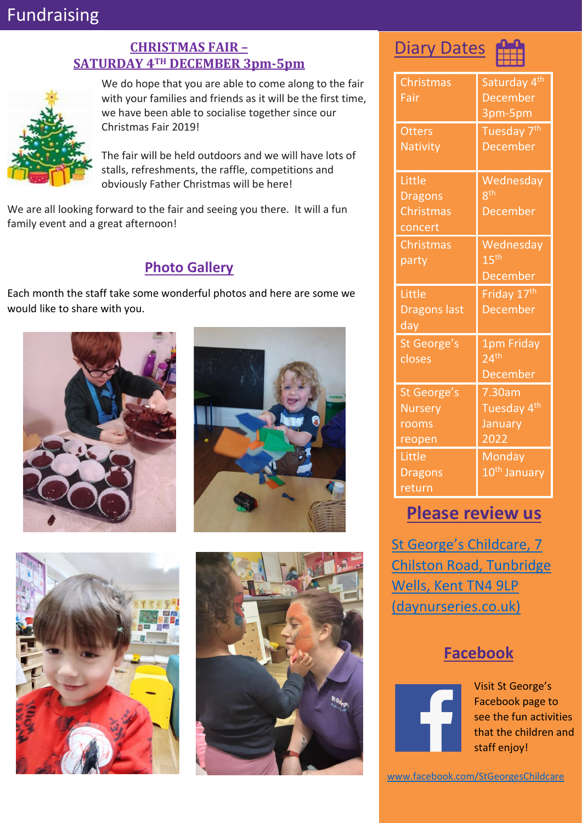## Fundraising

#### **CHRISTMAS FAIR – SATURDAY 4TH DECEMBER 3pm-5pm**



We do hope that you are able to come along to the fair with your families and friends as it will be the first time, we have been able to socialise together since our Christmas Fair 2019!

The fair will be held outdoors and we will have lots of stalls, refreshments, the raffle, competitions and obviously Father Christmas will be here!

We are all looking forward to the fair and seeing you there. It will a fun family event and a great afternoon!

#### **Photo Gallery**

Each month the staff take some wonderful photos and here are some we would like to share with you.













| Christmas           | Saturday 4 <sup>th</sup> |
|---------------------|--------------------------|
| Fair                | <b>December</b>          |
|                     | 3pm-5pm                  |
| <b>Otters</b>       | Tuesday 7 <sup>th</sup>  |
| <b>Nativity</b>     | <b>December</b>          |
|                     |                          |
| Little              | Wednesday                |
| <b>Dragons</b>      | gth                      |
| Christmas           | <b>December</b>          |
| concert             |                          |
| Christmas           | Wednesday                |
| party               | $15^{\text{th}}$         |
|                     | <b>December</b>          |
|                     |                          |
| Little              | Friday 17 <sup>th</sup>  |
| <b>Dragons last</b> | <b>December</b>          |
| day                 |                          |
| St George's         | 1pm Friday               |
| closes              | 24 <sup>th</sup>         |
|                     | <b>December</b>          |
| St George's         | 7.30am                   |
| <b>Nursery</b>      | Tuesday 4 <sup>th</sup>  |
| rooms               | January                  |
| reopen              | 2022                     |
| Little              | <b>Monday</b>            |
| <b>Dragons</b>      | 10 <sup>th</sup> January |

## **Please review us**

St George's Childcare, 7 [Chilston Road, Tunbridge](https://www.daynurseries.co.uk/daynursery.cfm/searchazref/50001050GEOA/rcsid/1001#submit-review-tab)  [Wells, Kent TN4 9LP](https://www.daynurseries.co.uk/daynursery.cfm/searchazref/50001050GEOA/rcsid/1001#submit-review-tab)  [\(daynurseries.co.uk\)](https://www.daynurseries.co.uk/daynursery.cfm/searchazref/50001050GEOA/rcsid/1001#submit-review-tab)

## **Facebook**



Visit St George's Facebook page to see the fun activities that the children and staff enjoy!

[www.facebook.com/StGeorgesChildcare](http://www.facebook.com/StGeorgesChildcare)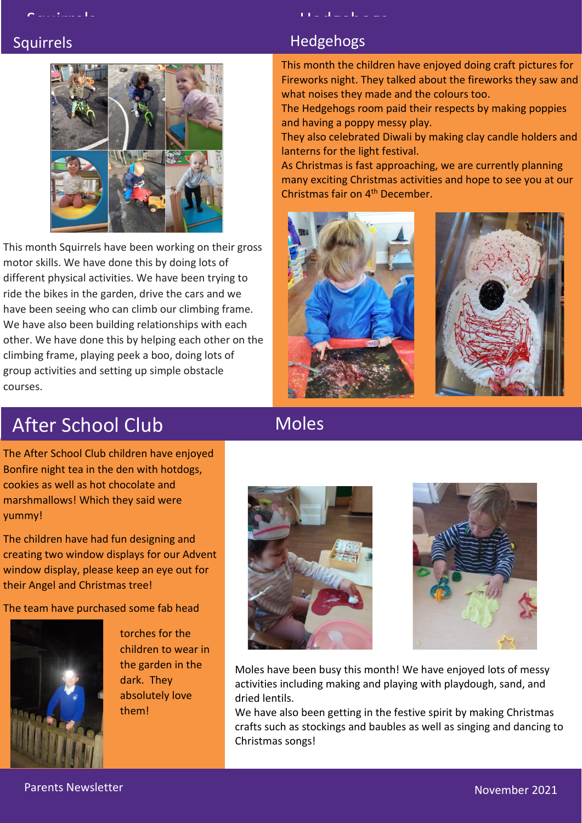

This month Squirrels have been working on their gross motor skills. We have done this by doing lots of different physical activities. We have been trying to ride the bikes in the garden, drive the cars and we have been seeing who can climb our climbing frame. We have also been building relationships with each other. We have done this by helping each other on the climbing frame, playing peek a boo, doing lots of group activities and setting up simple obstacle courses.

## Squirrels **Hedgehogs**

This month the children have enjoyed doing craft pictures for Fireworks night. They talked about the fireworks they saw and what noises they made and the colours too.

The Hedgehogs room paid their respects by making poppies and having a poppy messy play.

They also celebrated Diwali by making clay candle holders and lanterns for the light festival.

As Christmas is fast approaching, we are currently planning many exciting Christmas activities and hope to see you at our Christmas fair on 4th December.





# After School Club

## Moles

The After School Club children have enjoyed Bonfire night tea in the den with hotdogs, cookies as well as hot chocolate and marshmallows! Which they said were yummy!

The children have had fun designing and creating two window displays for our Advent window display, please keep an eye out for their Angel and Christmas tree!

The team have purchased some fab head



torches for the children to wear in the garden in the dark. They absolutely love them!





Moles have been busy this month! We have enjoyed lots of messy activities including making and playing with playdough, sand, and dried lentils.

We have also been getting in the festive spirit by making Christmas crafts such as stockings and baubles as well as singing and dancing to Christmas songs!